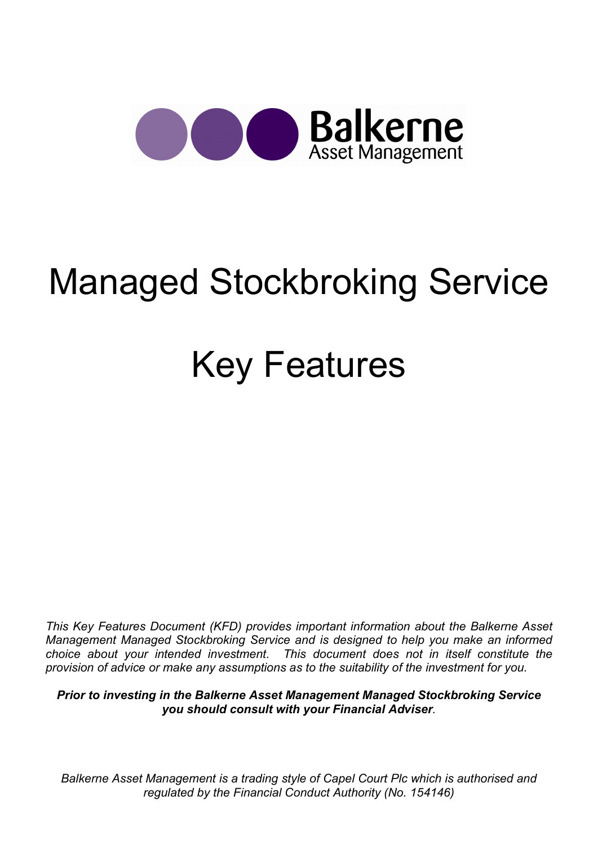

# Managed Stockbroking Service

# Key Features

This Key Features Document (KFD) provides important information about the Balkerne Asset Management Managed Stockbroking Service and is designed to help you make an informed choice about your intended investment. This document does not in itself constitute the provision of advice or make any assumptions as to the suitability of the investment for you.

Prior to investing in the Balkerne Asset Management Managed Stockbroking Service you should consult with your Financial Adviser.

Balkerne Asset Management is a trading style of Capel Court Plc which is authorised and regulated by the Financial Conduct Authority (No. 154146)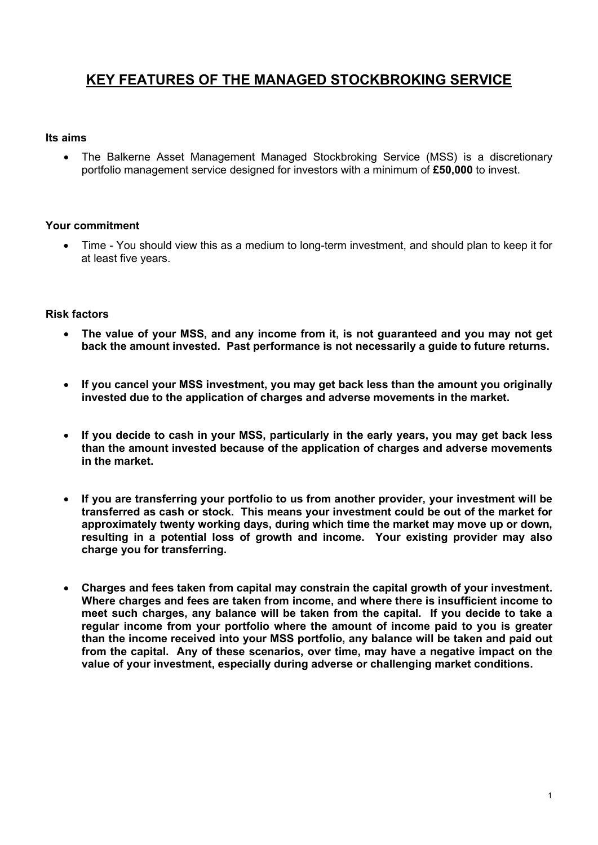# KEY FEATURES OF THE MANAGED STOCKBROKING SERVICE

#### Its aims

 The Balkerne Asset Management Managed Stockbroking Service (MSS) is a discretionary portfolio management service designed for investors with a minimum of £50,000 to invest.

#### Your commitment

 Time - You should view this as a medium to long-term investment, and should plan to keep it for at least five years.

#### Risk factors

- The value of your MSS, and any income from it, is not guaranteed and you may not get back the amount invested. Past performance is not necessarily a guide to future returns.
- If you cancel your MSS investment, you may get back less than the amount you originally invested due to the application of charges and adverse movements in the market.
- If you decide to cash in your MSS, particularly in the early years, you may get back less than the amount invested because of the application of charges and adverse movements in the market.
- If you are transferring your portfolio to us from another provider, your investment will be transferred as cash or stock. This means your investment could be out of the market for approximately twenty working days, during which time the market may move up or down, resulting in a potential loss of growth and income. Your existing provider may also charge you for transferring.
- Charges and fees taken from capital may constrain the capital growth of your investment. Where charges and fees are taken from income, and where there is insufficient income to meet such charges, any balance will be taken from the capital. If you decide to take a regular income from your portfolio where the amount of income paid to you is greater than the income received into your MSS portfolio, any balance will be taken and paid out from the capital. Any of these scenarios, over time, may have a negative impact on the value of your investment, especially during adverse or challenging market conditions.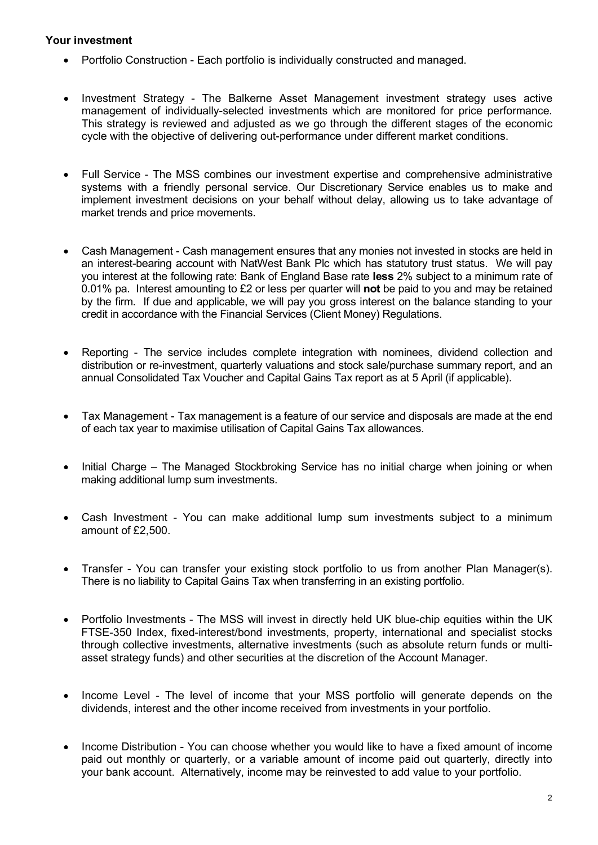# Your investment

- Portfolio Construction Each portfolio is individually constructed and managed.
- Investment Strategy The Balkerne Asset Management investment strategy uses active management of individually-selected investments which are monitored for price performance. This strategy is reviewed and adjusted as we go through the different stages of the economic cycle with the objective of delivering out-performance under different market conditions.
- Full Service The MSS combines our investment expertise and comprehensive administrative systems with a friendly personal service. Our Discretionary Service enables us to make and implement investment decisions on your behalf without delay, allowing us to take advantage of market trends and price movements.
- Cash Management Cash management ensures that any monies not invested in stocks are held in an interest-bearing account with NatWest Bank Plc which has statutory trust status. We will pay you interest at the following rate: Bank of England Base rate less 2% subject to a minimum rate of 0.01% pa. Interest amounting to £2 or less per quarter will not be paid to you and may be retained by the firm. If due and applicable, we will pay you gross interest on the balance standing to your credit in accordance with the Financial Services (Client Money) Regulations.
- Reporting The service includes complete integration with nominees, dividend collection and distribution or re-investment, quarterly valuations and stock sale/purchase summary report, and an annual Consolidated Tax Voucher and Capital Gains Tax report as at 5 April (if applicable).
- Tax Management Tax management is a feature of our service and disposals are made at the end of each tax year to maximise utilisation of Capital Gains Tax allowances.
- Initial Charge The Managed Stockbroking Service has no initial charge when joining or when making additional lump sum investments.
- Cash Investment You can make additional lump sum investments subject to a minimum amount of £2,500.
- Transfer You can transfer your existing stock portfolio to us from another Plan Manager(s). There is no liability to Capital Gains Tax when transferring in an existing portfolio.
- Portfolio Investments The MSS will invest in directly held UK blue-chip equities within the UK FTSE-350 Index, fixed-interest/bond investments, property, international and specialist stocks through collective investments, alternative investments (such as absolute return funds or multiasset strategy funds) and other securities at the discretion of the Account Manager.
- Income Level The level of income that your MSS portfolio will generate depends on the dividends, interest and the other income received from investments in your portfolio.
- Income Distribution You can choose whether you would like to have a fixed amount of income paid out monthly or quarterly, or a variable amount of income paid out quarterly, directly into your bank account. Alternatively, income may be reinvested to add value to your portfolio.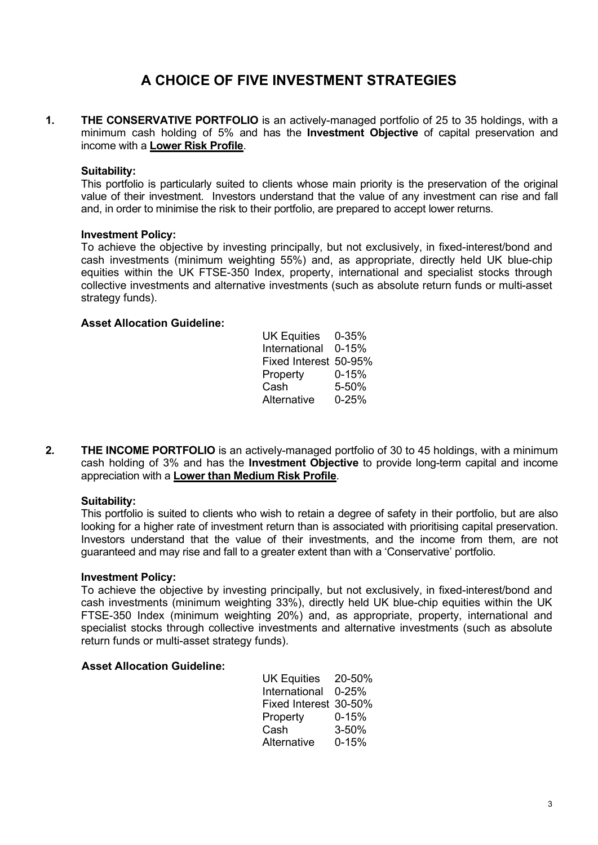# A CHOICE OF FIVE INVESTMENT STRATEGIES

1. THE CONSERVATIVE PORTFOLIO is an actively-managed portfolio of 25 to 35 holdings, with a minimum cash holding of 5% and has the Investment Objective of capital preservation and income with a Lower Risk Profile.

# Suitability:

This portfolio is particularly suited to clients whose main priority is the preservation of the original value of their investment. Investors understand that the value of any investment can rise and fall and, in order to minimise the risk to their portfolio, are prepared to accept lower returns.

# Investment Policy:

To achieve the objective by investing principally, but not exclusively, in fixed-interest/bond and cash investments (minimum weighting 55%) and, as appropriate, directly held UK blue-chip equities within the UK FTSE-350 Index, property, international and specialist stocks through collective investments and alternative investments (such as absolute return funds or multi-asset strategy funds).

# Asset Allocation Guideline:

| UK Equities 0-35%     |           |
|-----------------------|-----------|
| International 0-15%   |           |
| Fixed Interest 50-95% |           |
| Property              | $0 - 15%$ |
| Cash                  | 5-50%     |
| Alternative           | $0 - 25%$ |

2. THE INCOME PORTFOLIO is an actively-managed portfolio of 30 to 45 holdings, with a minimum cash holding of 3% and has the Investment Objective to provide long-term capital and income appreciation with a Lower than Medium Risk Profile.

# Suitability:

This portfolio is suited to clients who wish to retain a degree of safety in their portfolio, but are also looking for a higher rate of investment return than is associated with prioritising capital preservation. Investors understand that the value of their investments, and the income from them, are not guaranteed and may rise and fall to a greater extent than with a 'Conservative' portfolio.

# Investment Policy:

To achieve the objective by investing principally, but not exclusively, in fixed-interest/bond and cash investments (minimum weighting 33%), directly held UK blue-chip equities within the UK FTSE-350 Index (minimum weighting 20%) and, as appropriate, property, international and specialist stocks through collective investments and alternative investments (such as absolute return funds or multi-asset strategy funds).

# Asset Allocation Guideline:

| UK Equities 20-50%    |           |
|-----------------------|-----------|
| International 0-25%   |           |
| Fixed Interest 30-50% |           |
| Property              | $0 - 15%$ |
| Cash                  | $3 - 50%$ |
| Alternative           | $0 - 15%$ |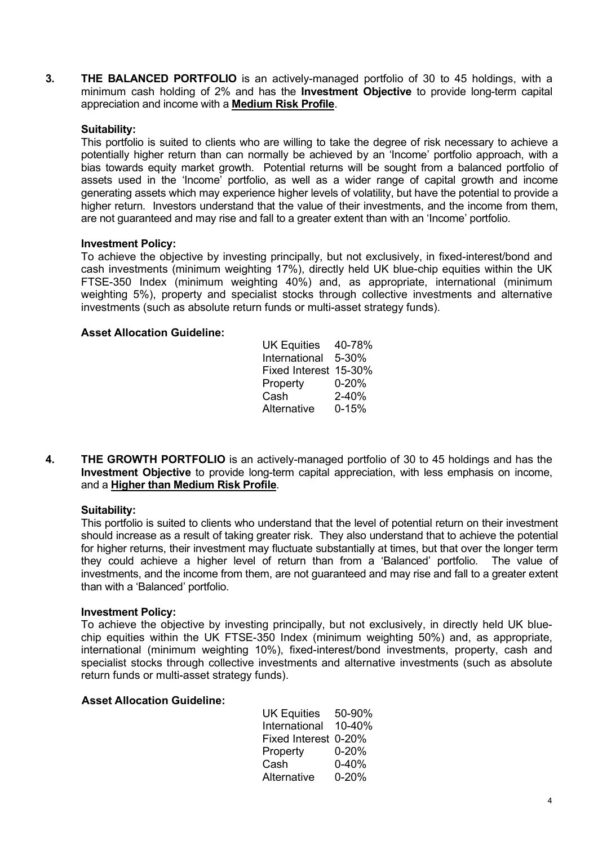3. THE BALANCED PORTFOLIO is an actively-managed portfolio of 30 to 45 holdings, with a minimum cash holding of 2% and has the **Investment Objective** to provide long-term capital appreciation and income with a Medium Risk Profile.

# Suitability:

This portfolio is suited to clients who are willing to take the degree of risk necessary to achieve a potentially higher return than can normally be achieved by an 'Income' portfolio approach, with a bias towards equity market growth. Potential returns will be sought from a balanced portfolio of assets used in the 'Income' portfolio, as well as a wider range of capital growth and income generating assets which may experience higher levels of volatility, but have the potential to provide a higher return. Investors understand that the value of their investments, and the income from them, are not guaranteed and may rise and fall to a greater extent than with an 'Income' portfolio.

# Investment Policy:

To achieve the objective by investing principally, but not exclusively, in fixed-interest/bond and cash investments (minimum weighting 17%), directly held UK blue-chip equities within the UK FTSE-350 Index (minimum weighting 40%) and, as appropriate, international (minimum weighting 5%), property and specialist stocks through collective investments and alternative investments (such as absolute return funds or multi-asset strategy funds).

# Asset Allocation Guideline:

| UK Equities 40-78%    |           |
|-----------------------|-----------|
| International 5-30%   |           |
| Fixed Interest 15-30% |           |
| Property              | $0 - 20%$ |
| Cash                  | $2 - 40%$ |
| Alternative           | $0 - 15%$ |
|                       |           |

4. THE GROWTH PORTFOLIO is an actively-managed portfolio of 30 to 45 holdings and has the Investment Objective to provide long-term capital appreciation, with less emphasis on income, and a **Higher than Medium Risk Profile**.

# Suitability:

This portfolio is suited to clients who understand that the level of potential return on their investment should increase as a result of taking greater risk. They also understand that to achieve the potential for higher returns, their investment may fluctuate substantially at times, but that over the longer term they could achieve a higher level of return than from a 'Balanced' portfolio. The value of investments, and the income from them, are not guaranteed and may rise and fall to a greater extent than with a 'Balanced' portfolio.

#### Investment Policy:

To achieve the objective by investing principally, but not exclusively, in directly held UK bluechip equities within the UK FTSE-350 Index (minimum weighting 50%) and, as appropriate, international (minimum weighting 10%), fixed-interest/bond investments, property, cash and specialist stocks through collective investments and alternative investments (such as absolute return funds or multi-asset strategy funds).

#### Asset Allocation Guideline:

|             | UK Equities 50-90%   |
|-------------|----------------------|
|             | International 10-40% |
|             | Fixed Interest 0-20% |
| Property    | $0 - 20%$            |
| Cash        | $0 - 40%$            |
| Alternative | $0 - 20%$            |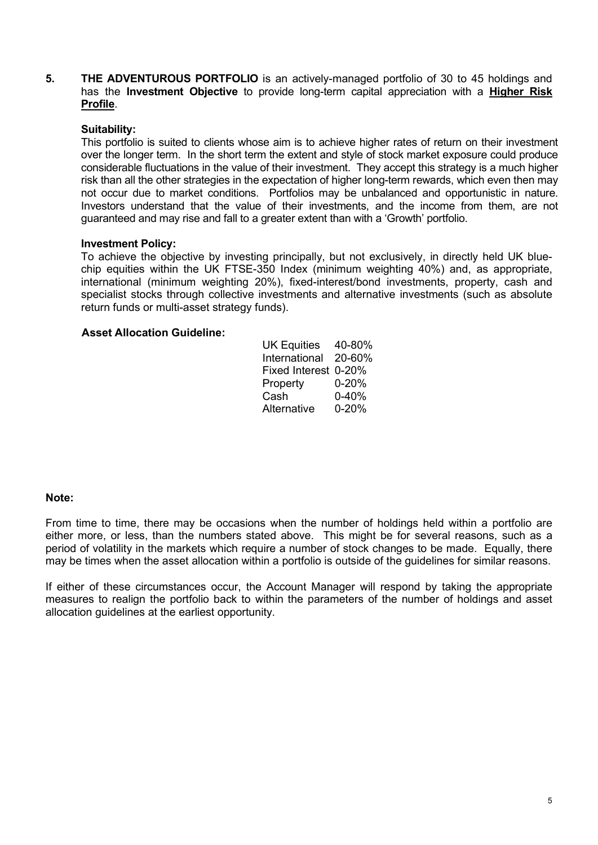5. THE ADVENTUROUS PORTFOLIO is an actively-managed portfolio of 30 to 45 holdings and has the Investment Objective to provide long-term capital appreciation with a Higher Risk Profile.

# Suitability:

This portfolio is suited to clients whose aim is to achieve higher rates of return on their investment over the longer term. In the short term the extent and style of stock market exposure could produce considerable fluctuations in the value of their investment. They accept this strategy is a much higher risk than all the other strategies in the expectation of higher long-term rewards, which even then may not occur due to market conditions. Portfolios may be unbalanced and opportunistic in nature. Investors understand that the value of their investments, and the income from them, are not guaranteed and may rise and fall to a greater extent than with a 'Growth' portfolio.

# Investment Policy:

To achieve the objective by investing principally, but not exclusively, in directly held UK bluechip equities within the UK FTSE-350 Index (minimum weighting 40%) and, as appropriate, international (minimum weighting 20%), fixed-interest/bond investments, property, cash and specialist stocks through collective investments and alternative investments (such as absolute return funds or multi-asset strategy funds).

# Asset Allocation Guideline:

| UK Equities 40-80%   |           |
|----------------------|-----------|
| International 20-60% |           |
| Fixed Interest 0-20% |           |
| Property             | $0 - 20%$ |
| Cash                 | $0 - 40%$ |
| Alternative          | $0 - 20%$ |

#### Note:

From time to time, there may be occasions when the number of holdings held within a portfolio are either more, or less, than the numbers stated above. This might be for several reasons, such as a period of volatility in the markets which require a number of stock changes to be made. Equally, there may be times when the asset allocation within a portfolio is outside of the guidelines for similar reasons.

If either of these circumstances occur, the Account Manager will respond by taking the appropriate measures to realign the portfolio back to within the parameters of the number of holdings and asset allocation guidelines at the earliest opportunity.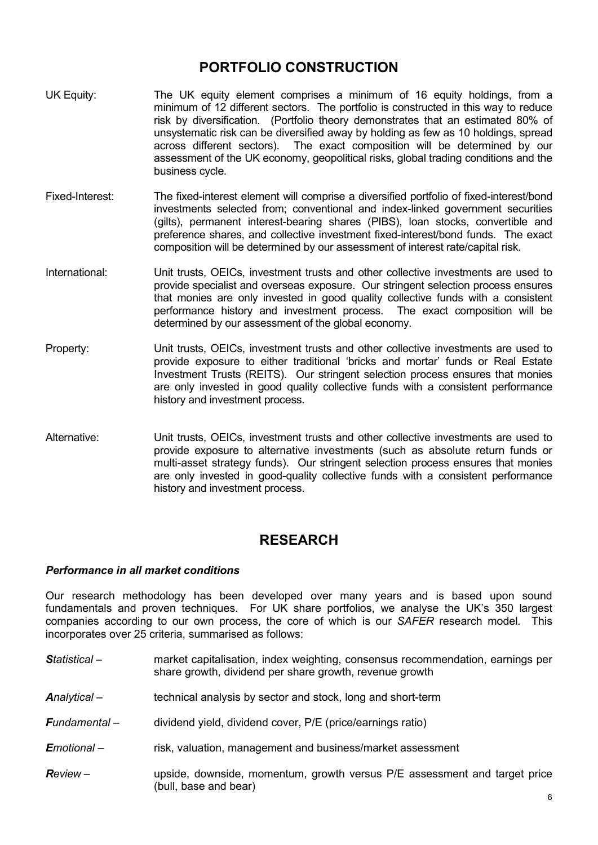# PORTFOLIO CONSTRUCTION

- UK Equity: The UK equity element comprises a minimum of 16 equity holdings, from a minimum of 12 different sectors. The portfolio is constructed in this way to reduce risk by diversification. (Portfolio theory demonstrates that an estimated 80% of unsystematic risk can be diversified away by holding as few as 10 holdings, spread across different sectors). The exact composition will be determined by our assessment of the UK economy, geopolitical risks, global trading conditions and the business cycle.
- Fixed-Interest: The fixed-interest element will comprise a diversified portfolio of fixed-interest/bond investments selected from; conventional and index-linked government securities (gilts), permanent interest-bearing shares (PIBS), loan stocks, convertible and preference shares, and collective investment fixed-interest/bond funds. The exact composition will be determined by our assessment of interest rate/capital risk.
- International: Unit trusts, OEICs, investment trusts and other collective investments are used to provide specialist and overseas exposure. Our stringent selection process ensures that monies are only invested in good quality collective funds with a consistent performance history and investment process. The exact composition will be determined by our assessment of the global economy.
- Property: Unit trusts, OEICs, investment trusts and other collective investments are used to provide exposure to either traditional 'bricks and mortar' funds or Real Estate Investment Trusts (REITS). Our stringent selection process ensures that monies are only invested in good quality collective funds with a consistent performance history and investment process.
- Alternative: Unit trusts, OEICs, investment trusts and other collective investments are used to provide exposure to alternative investments (such as absolute return funds or multi-asset strategy funds). Our stringent selection process ensures that monies are only invested in good-quality collective funds with a consistent performance history and investment process.

# RESEARCH

# Performance in all market conditions

Our research methodology has been developed over many years and is based upon sound fundamentals and proven techniques. For UK share portfolios, we analyse the UK's 350 largest companies according to our own process, the core of which is our SAFER research model. This incorporates over 25 criteria, summarised as follows:

- Statistical market capitalisation, index weighting, consensus recommendation, earnings per share growth, dividend per share growth, revenue growth
- Analytical technical analysis by sector and stock, long and short-term
- **Fundamental** dividend yield, dividend cover, P/E (price/earnings ratio)
- **E**motional risk, valuation, management and business/market assessment
- Review upside, downside, momentum, growth versus P/E assessment and target price (bull, base and bear)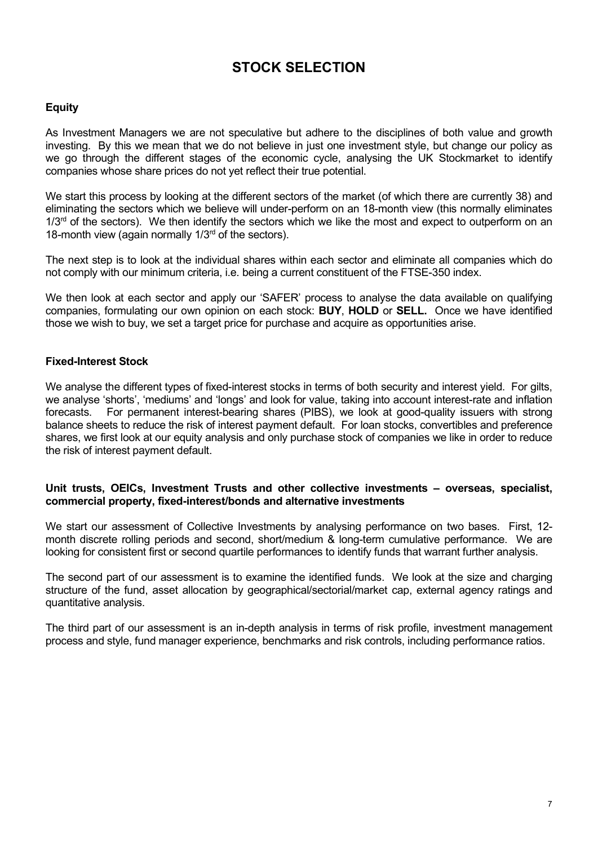# STOCK SELECTION

# Equity

As Investment Managers we are not speculative but adhere to the disciplines of both value and growth investing. By this we mean that we do not believe in just one investment style, but change our policy as we go through the different stages of the economic cycle, analysing the UK Stockmarket to identify companies whose share prices do not yet reflect their true potential.

We start this process by looking at the different sectors of the market (of which there are currently 38) and eliminating the sectors which we believe will under-perform on an 18-month view (this normally eliminates  $1/3<sup>rd</sup>$  of the sectors). We then identify the sectors which we like the most and expect to outperform on an 18-month view (again normally  $1/3<sup>rd</sup>$  of the sectors).

The next step is to look at the individual shares within each sector and eliminate all companies which do not comply with our minimum criteria, i.e. being a current constituent of the FTSE-350 index.

We then look at each sector and apply our 'SAFER' process to analyse the data available on qualifying companies, formulating our own opinion on each stock: BUY, HOLD or SELL. Once we have identified those we wish to buy, we set a target price for purchase and acquire as opportunities arise.

# Fixed-Interest Stock

We analyse the different types of fixed-interest stocks in terms of both security and interest yield. For gilts, we analyse 'shorts', 'mediums' and 'longs' and look for value, taking into account interest-rate and inflation forecasts. For permanent interest-bearing shares (PIBS), we look at good-quality issuers with strong balance sheets to reduce the risk of interest payment default. For loan stocks, convertibles and preference shares, we first look at our equity analysis and only purchase stock of companies we like in order to reduce the risk of interest payment default.

#### Unit trusts, OEICs, Investment Trusts and other collective investments – overseas, specialist, commercial property, fixed-interest/bonds and alternative investments

We start our assessment of Collective Investments by analysing performance on two bases. First, 12month discrete rolling periods and second, short/medium & long-term cumulative performance. We are looking for consistent first or second quartile performances to identify funds that warrant further analysis.

The second part of our assessment is to examine the identified funds. We look at the size and charging structure of the fund, asset allocation by geographical/sectorial/market cap, external agency ratings and quantitative analysis.

The third part of our assessment is an in-depth analysis in terms of risk profile, investment management process and style, fund manager experience, benchmarks and risk controls, including performance ratios.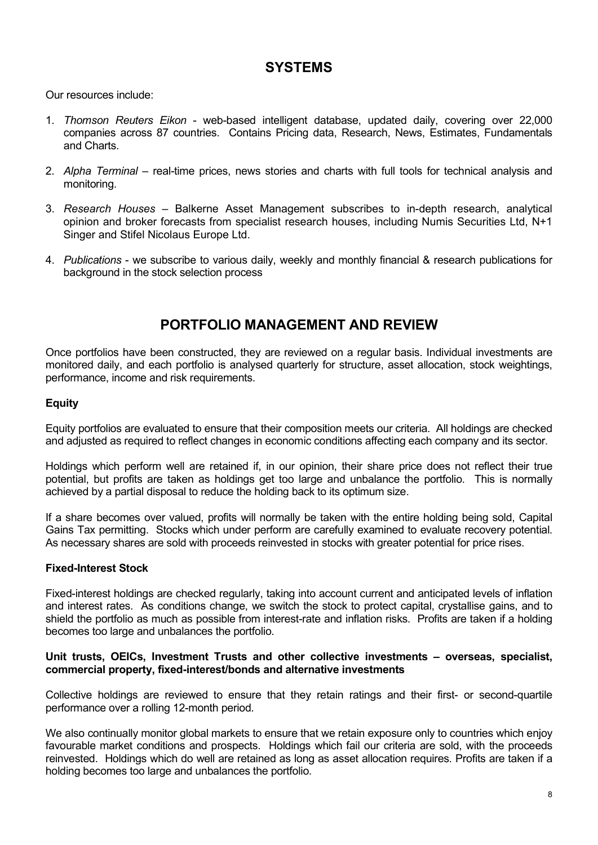# **SYSTEMS**

Our resources include:

- 1. Thomson Reuters Eikon web-based intelligent database, updated daily, covering over 22,000 companies across 87 countries. Contains Pricing data, Research, News, Estimates, Fundamentals and Charts.
- 2. Alpha Terminal real-time prices, news stories and charts with full tools for technical analysis and monitoring.
- 3. Research Houses Balkerne Asset Management subscribes to in-depth research, analytical opinion and broker forecasts from specialist research houses, including Numis Securities Ltd, N+1 Singer and Stifel Nicolaus Europe Ltd.
- 4. Publications we subscribe to various daily, weekly and monthly financial & research publications for background in the stock selection process

# PORTFOLIO MANAGEMENT AND REVIEW

Once portfolios have been constructed, they are reviewed on a regular basis. Individual investments are monitored daily, and each portfolio is analysed quarterly for structure, asset allocation, stock weightings, performance, income and risk requirements.

# Equity

Equity portfolios are evaluated to ensure that their composition meets our criteria. All holdings are checked and adjusted as required to reflect changes in economic conditions affecting each company and its sector.

Holdings which perform well are retained if, in our opinion, their share price does not reflect their true potential, but profits are taken as holdings get too large and unbalance the portfolio. This is normally achieved by a partial disposal to reduce the holding back to its optimum size.

If a share becomes over valued, profits will normally be taken with the entire holding being sold, Capital Gains Tax permitting. Stocks which under perform are carefully examined to evaluate recovery potential. As necessary shares are sold with proceeds reinvested in stocks with greater potential for price rises.

# Fixed-Interest Stock

Fixed-interest holdings are checked regularly, taking into account current and anticipated levels of inflation and interest rates. As conditions change, we switch the stock to protect capital, crystallise gains, and to shield the portfolio as much as possible from interest-rate and inflation risks. Profits are taken if a holding becomes too large and unbalances the portfolio.

#### Unit trusts, OEICs, Investment Trusts and other collective investments – overseas, specialist, commercial property, fixed-interest/bonds and alternative investments

Collective holdings are reviewed to ensure that they retain ratings and their first- or second-quartile performance over a rolling 12-month period.

We also continually monitor global markets to ensure that we retain exposure only to countries which enjoy favourable market conditions and prospects. Holdings which fail our criteria are sold, with the proceeds reinvested. Holdings which do well are retained as long as asset allocation requires. Profits are taken if a holding becomes too large and unbalances the portfolio.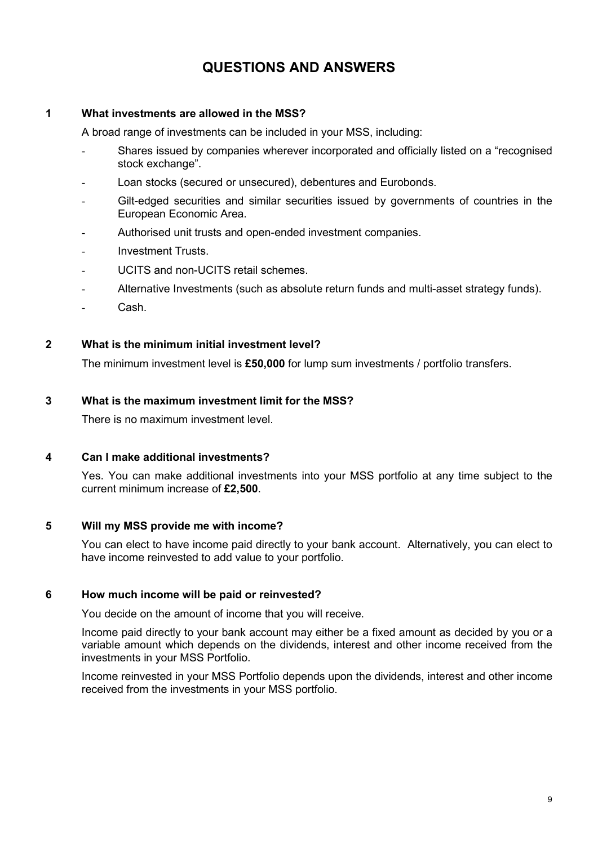# QUESTIONS AND ANSWERS

# 1 What investments are allowed in the MSS?

A broad range of investments can be included in your MSS, including:

- Shares issued by companies wherever incorporated and officially listed on a "recognised stock exchange".
- Loan stocks (secured or unsecured), debentures and Eurobonds.
- Gilt-edged securities and similar securities issued by governments of countries in the European Economic Area.
- Authorised unit trusts and open-ended investment companies.
- Investment Trusts.
- UCITS and non-UCITS retail schemes.
- Alternative Investments (such as absolute return funds and multi-asset strategy funds).
- Cash.

# 2 What is the minimum initial investment level?

The minimum investment level is £50,000 for lump sum investments / portfolio transfers.

# 3 What is the maximum investment limit for the MSS?

There is no maximum investment level.

# 4 Can I make additional investments?

Yes. You can make additional investments into your MSS portfolio at any time subject to the current minimum increase of £2,500.

# 5 Will my MSS provide me with income?

You can elect to have income paid directly to your bank account. Alternatively, you can elect to have income reinvested to add value to your portfolio.

# 6 How much income will be paid or reinvested?

You decide on the amount of income that you will receive.

Income paid directly to your bank account may either be a fixed amount as decided by you or a variable amount which depends on the dividends, interest and other income received from the investments in your MSS Portfolio.

Income reinvested in your MSS Portfolio depends upon the dividends, interest and other income received from the investments in your MSS portfolio.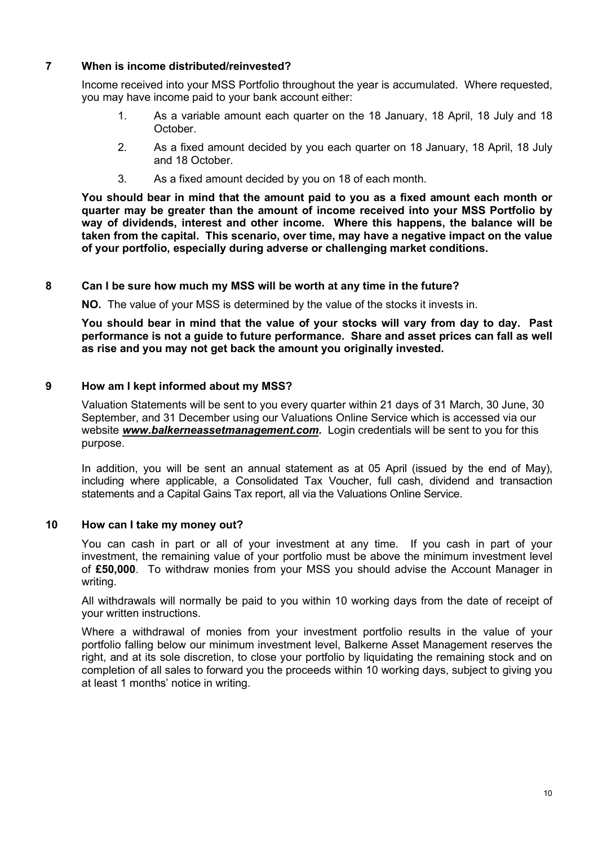# 7 When is income distributed/reinvested?

Income received into your MSS Portfolio throughout the year is accumulated. Where requested, you may have income paid to your bank account either:

- 1. As a variable amount each quarter on the 18 January, 18 April, 18 July and 18 October.
- 2. As a fixed amount decided by you each quarter on 18 January, 18 April, 18 July and 18 October.
- 3. As a fixed amount decided by you on 18 of each month.

You should bear in mind that the amount paid to you as a fixed amount each month or quarter may be greater than the amount of income received into your MSS Portfolio by way of dividends, interest and other income. Where this happens, the balance will be taken from the capital. This scenario, over time, may have a negative impact on the value of your portfolio, especially during adverse or challenging market conditions.

#### 8 Can I be sure how much my MSS will be worth at any time in the future?

NO. The value of your MSS is determined by the value of the stocks it invests in.

You should bear in mind that the value of your stocks will vary from day to day. Past performance is not a guide to future performance. Share and asset prices can fall as well as rise and you may not get back the amount you originally invested.

#### 9 How am I kept informed about my MSS?

Valuation Statements will be sent to you every quarter within 21 days of 31 March, 30 June, 30 September, and 31 December using our Valuations Online Service which is accessed via our website www.balkerneassetmanagement.com. Login credentials will be sent to you for this purpose.

In addition, you will be sent an annual statement as at 05 April (issued by the end of May), including where applicable, a Consolidated Tax Voucher, full cash, dividend and transaction statements and a Capital Gains Tax report, all via the Valuations Online Service.

#### 10 How can I take my money out?

You can cash in part or all of your investment at any time. If you cash in part of your investment, the remaining value of your portfolio must be above the minimum investment level of £50,000. To withdraw monies from your MSS you should advise the Account Manager in writing.

All withdrawals will normally be paid to you within 10 working days from the date of receipt of your written instructions.

Where a withdrawal of monies from your investment portfolio results in the value of your portfolio falling below our minimum investment level, Balkerne Asset Management reserves the right, and at its sole discretion, to close your portfolio by liquidating the remaining stock and on completion of all sales to forward you the proceeds within 10 working days, subject to giving you at least 1 months' notice in writing.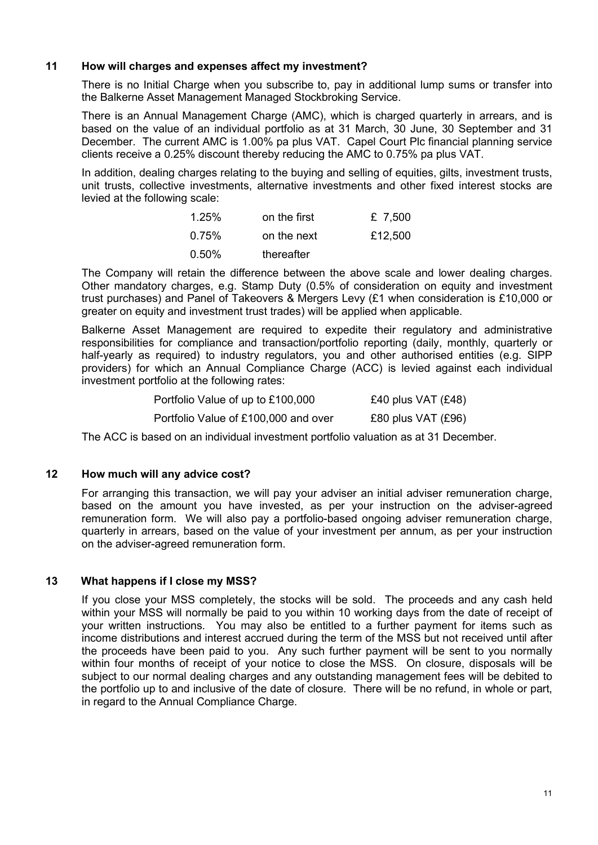# 11 How will charges and expenses affect my investment?

There is no Initial Charge when you subscribe to, pay in additional lump sums or transfer into the Balkerne Asset Management Managed Stockbroking Service.

There is an Annual Management Charge (AMC), which is charged quarterly in arrears, and is based on the value of an individual portfolio as at 31 March, 30 June, 30 September and 31 December. The current AMC is 1.00% pa plus VAT. Capel Court Plc financial planning service clients receive a 0.25% discount thereby reducing the AMC to 0.75% pa plus VAT.

In addition, dealing charges relating to the buying and selling of equities, gilts, investment trusts, unit trusts, collective investments, alternative investments and other fixed interest stocks are levied at the following scale:

| $1.25\%$ | on the first | £ 7,500 |
|----------|--------------|---------|
| 0.75%    | on the next  | £12,500 |
| 0.50%    | thereafter   |         |

The Company will retain the difference between the above scale and lower dealing charges. Other mandatory charges, e.g. Stamp Duty (0.5% of consideration on equity and investment trust purchases) and Panel of Takeovers & Mergers Levy (£1 when consideration is £10,000 or greater on equity and investment trust trades) will be applied when applicable.

Balkerne Asset Management are required to expedite their regulatory and administrative responsibilities for compliance and transaction/portfolio reporting (daily, monthly, quarterly or half-yearly as required) to industry regulators, you and other authorised entities (e.g. SIPP providers) for which an Annual Compliance Charge (ACC) is levied against each individual investment portfolio at the following rates:

| Portfolio Value of up to £100,000    | £40 plus VAT $(E48)$   |
|--------------------------------------|------------------------|
| Portfolio Value of £100,000 and over | $£80$ plus VAT $(E96)$ |

The ACC is based on an individual investment portfolio valuation as at 31 December.

# 12 How much will any advice cost?

For arranging this transaction, we will pay your adviser an initial adviser remuneration charge, based on the amount you have invested, as per your instruction on the adviser-agreed remuneration form. We will also pay a portfolio-based ongoing adviser remuneration charge, quarterly in arrears, based on the value of your investment per annum, as per your instruction on the adviser-agreed remuneration form.

# 13 What happens if I close my MSS?

If you close your MSS completely, the stocks will be sold. The proceeds and any cash held within your MSS will normally be paid to you within 10 working days from the date of receipt of your written instructions. You may also be entitled to a further payment for items such as income distributions and interest accrued during the term of the MSS but not received until after the proceeds have been paid to you. Any such further payment will be sent to you normally within four months of receipt of your notice to close the MSS. On closure, disposals will be subject to our normal dealing charges and any outstanding management fees will be debited to the portfolio up to and inclusive of the date of closure. There will be no refund, in whole or part, in regard to the Annual Compliance Charge.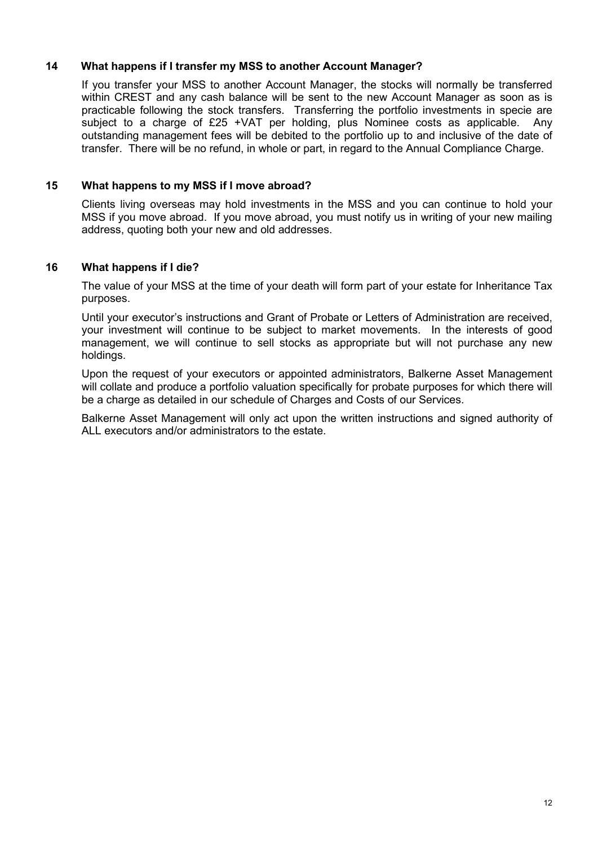# 14 What happens if I transfer my MSS to another Account Manager?

If you transfer your MSS to another Account Manager, the stocks will normally be transferred within CREST and any cash balance will be sent to the new Account Manager as soon as is practicable following the stock transfers. Transferring the portfolio investments in specie are subject to a charge of £25 +VAT per holding, plus Nominee costs as applicable. Any outstanding management fees will be debited to the portfolio up to and inclusive of the date of transfer. There will be no refund, in whole or part, in regard to the Annual Compliance Charge.

# 15 What happens to my MSS if I move abroad?

Clients living overseas may hold investments in the MSS and you can continue to hold your MSS if you move abroad. If you move abroad, you must notify us in writing of your new mailing address, quoting both your new and old addresses.

# 16 What happens if I die?

The value of your MSS at the time of your death will form part of your estate for Inheritance Tax purposes.

Until your executor's instructions and Grant of Probate or Letters of Administration are received, your investment will continue to be subject to market movements. In the interests of good management, we will continue to sell stocks as appropriate but will not purchase any new holdings.

Upon the request of your executors or appointed administrators, Balkerne Asset Management will collate and produce a portfolio valuation specifically for probate purposes for which there will be a charge as detailed in our schedule of Charges and Costs of our Services.

Balkerne Asset Management will only act upon the written instructions and signed authority of ALL executors and/or administrators to the estate.